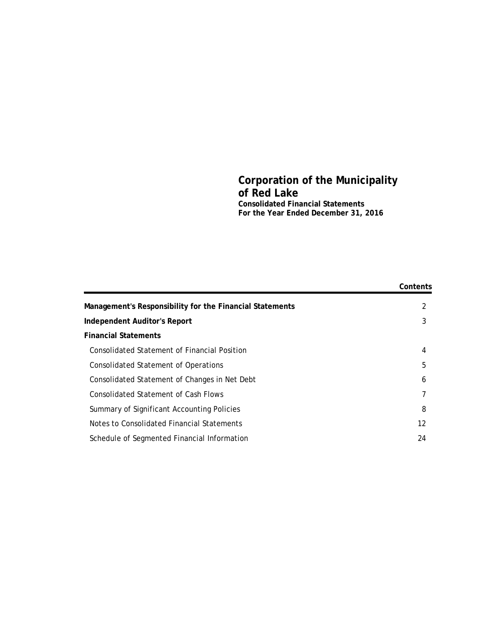# **Corporation of the Municipality of Red Lake Consolidated Financial Statements For the Year Ended December 31, 2016**

|                                                          | Contents       |
|----------------------------------------------------------|----------------|
| Management's Responsibility for the Financial Statements | $\mathfrak{D}$ |
| Independent Auditor's Report                             | 3              |
| <b>Financial Statements</b>                              |                |
| Consolidated Statement of Financial Position             | 4              |
| Consolidated Statement of Operations                     | 5              |
| Consolidated Statement of Changes in Net Debt            | 6              |
| Consolidated Statement of Cash Flows                     | 7              |
| <b>Summary of Significant Accounting Policies</b>        | 8              |
| Notes to Consolidated Financial Statements               | 12             |
| Schedule of Segmented Financial Information              | 24             |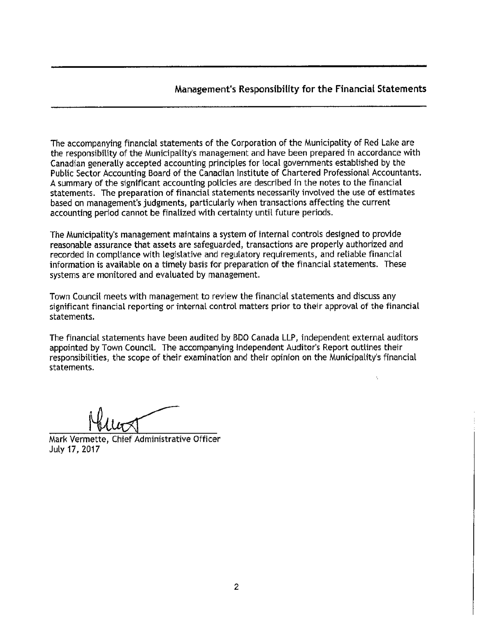# Management's Responsibility for the Financial Statements

The accompanying financial statements of the Corporation of the Municipality of Red Lake are the responsibility of the Municipality's management and have been prepared in accordance with Canadian generally accepted accounting principles for local governments established by the Public Sector Accounting Board of the Canadian Institute of Chartered Professional Accountants. A summary of the significant accounting policies are described in the notes to the financial statements. The preparation of financial statements necessarily involved the use of estimates based on management's judgments, particularly when transactions affecting the current accounting period cannot be finalized with certainty until future periods.

The Municipality's management maintains a system of internal controls designed to provide reasonable assurance that assets are safeguarded, transactions are properly authorized and recorded in compliance with legislative and regulatory requirements, and reliable financial information is available on a timely basis for preparation of the financial statements. These systems are monitored and evaluated by management.

Town Council meets with management to review the financial statements and discuss any significant financial reporting or internal control matters prior to their approval of the financial statements.

The financial statements have been audited by BDO Canada LLP, independent external auditors appointed by Town Council. The accompanying Independent Auditor's Report outlines their responsibilities, the scope of their examination and their opinion on the Municipality's financial statements.

Mark Vermette. Chief Administrative Officer July 17, 2017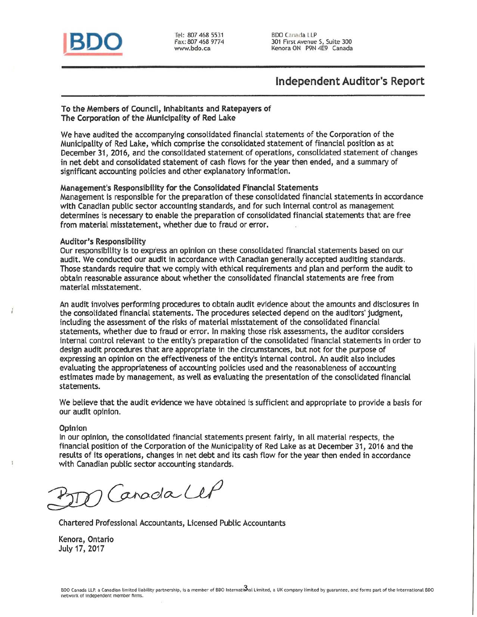

Tel: 807 468 5531 Fax: 807 468 9774 www.bdo.ca

**BDO Canada LLP** 301 First Avenue S, Suite 300 Kenora ON P9N 4E9 Canada

# **Independent Auditor's Report**

# To the Members of Council, Inhabitants and Ratepayers of The Corporation of the Municipality of Red Lake

We have audited the accompanying consolidated financial statements of the Corporation of the Municipality of Red Lake, which comprise the consolidated statement of financial position as at December 31, 2016, and the consolidated statement of operations, consolidated statement of changes in net debt and consolidated statement of cash flows for the year then ended, and a summary of significant accounting policies and other explanatory information.

# Management's Responsibility for the Consolidated Financial Statements

Management is responsible for the preparation of these consolidated financial statements in accordance with Canadian public sector accounting standards, and for such internal control as management determines is necessary to enable the preparation of consolidated financial statements that are free from material misstatement, whether due to fraud or error.

# **Auditor's Responsibility**

Our responsibility is to express an opinion on these consolidated financial statements based on our audit. We conducted our audit in accordance with Canadian generally accepted auditing standards. Those standards require that we comply with ethical requirements and plan and perform the audit to obtain reasonable assurance about whether the consolidated financial statements are free from material misstatement.

An audit involves performing procedures to obtain audit evidence about the amounts and disclosures in the consolidated financial statements. The procedures selected depend on the auditors' judgment, including the assessment of the risks of material misstatement of the consolidated financial statements, whether due to fraud or error. In making those risk assessments, the auditor considers internal control relevant to the entity's preparation of the consolidated financial statements in order to design audit procedures that are appropriate in the circumstances, but not for the purpose of expressing an opinion on the effectiveness of the entity's internal control. An audit also includes evaluating the appropriateness of accounting policies used and the reasonableness of accounting estimates made by management, as well as evaluating the presentation of the consolidated financial statements.

We believe that the audit evidence we have obtained is sufficient and appropriate to provide a basis for our audit opinion.

#### Opinion

In our opinion, the consolidated financial statements present fairly, in all material respects, the financial position of the Corporation of the Municipality of Red Lake as at December 31, 2016 and the results of its operations, changes in net debt and its cash flow for the year then ended in accordance with Canadian public sector accounting standards.

7 Canada LeP

Chartered Professional Accountants, Licensed Public Accountants

Kenora, Ontario July 17, 2017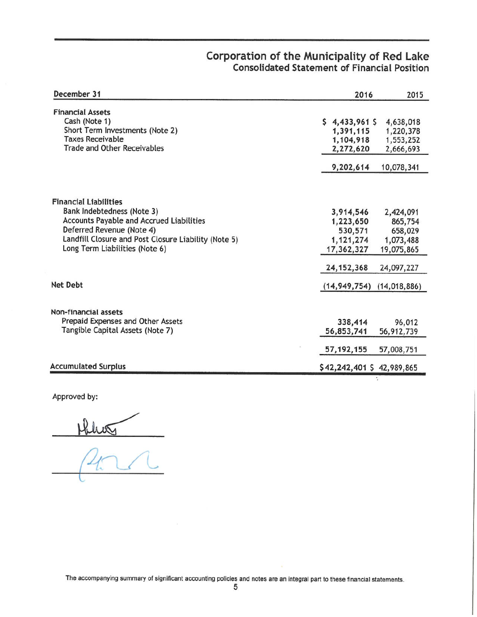# Corporation of the Municipality of Red Lake<br>Consolidated Statement of Financial Position

| December 31                                          | 2016                              | 2015       |
|------------------------------------------------------|-----------------------------------|------------|
| <b>Financial Assets</b>                              |                                   |            |
| Cash (Note 1)                                        | \$4,433,961                       | 4,638,018  |
| Short Term Investments (Note 2)                      | 1,391,115                         | 1,220,378  |
| <b>Taxes Receivable</b>                              | 1,104,918                         | 1,553,252  |
| <b>Trade and Other Receivables</b>                   | 2,272,620                         | 2,666,693  |
|                                                      | 9,202,614                         | 10,078,341 |
|                                                      |                                   |            |
| <b>Financial Liabilities</b>                         |                                   |            |
| Bank Indebtedness (Note 3)                           | 3,914,546                         | 2,424,091  |
| Accounts Payable and Accrued Liabilities             | 1,223,650                         | 865,754    |
| Deferred Revenue (Note 4)                            | 530,571                           | 658,029    |
| Landfill Closure and Post Closure Liability (Note 5) | 1,121,274                         | 1,073,488  |
| Long Term Liabilities (Note 6)                       | 17,362,327                        | 19,075,865 |
|                                                      | 24, 152, 368                      | 24,097,227 |
| Net Debt                                             | $(14, 949, 754)$ $(14, 018, 886)$ |            |
| Non-financial assets                                 |                                   |            |
| Prepaid Expenses and Other Assets                    | 338,414                           | 96,012     |
| Tangible Capital Assets (Note 7)                     | 56,853,741                        | 56,912,739 |
|                                                      | 57, 192, 155                      | 57,008,751 |
| <b>Accumulated Surplus</b>                           | \$42,242,401 \$42,989,865         |            |
|                                                      |                                   |            |

Approved by:

blues 1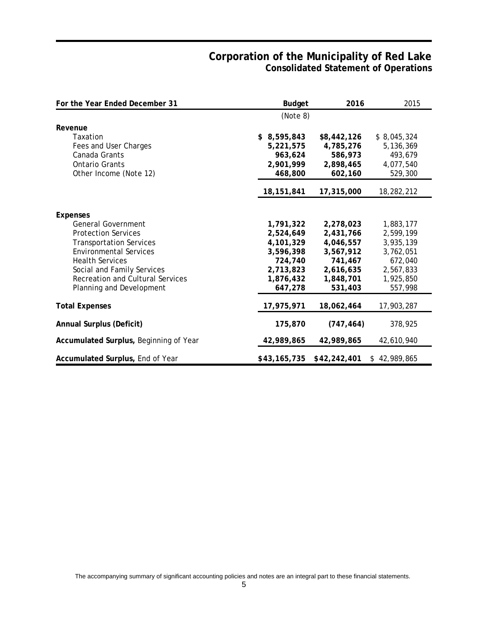# **Corporation of the Municipality of Red Lake Consolidated Statement of Operations**

| For the Year Ended December 31          | <b>Budget</b> | 2016         | 2015         |  |
|-----------------------------------------|---------------|--------------|--------------|--|
|                                         | (Note 8)      |              |              |  |
| Revenue                                 |               |              |              |  |
| Taxation                                | \$8,595,843   | \$8,442,126  | \$8,045,324  |  |
| Fees and User Charges                   | 5,221,575     | 4,785,276    | 5,136,369    |  |
| Canada Grants                           | 963,624       | 586,973      | 493,679      |  |
| <b>Ontario Grants</b>                   | 2,901,999     | 2,898,465    | 4,077,540    |  |
| Other Income (Note 12)                  | 468,800       | 602,160      | 529,300      |  |
|                                         | 18, 151, 841  | 17,315,000   | 18,282,212   |  |
|                                         |               |              |              |  |
| <b>Expenses</b>                         |               |              |              |  |
| <b>General Government</b>               | 1,791,322     | 2,278,023    | 1,883,177    |  |
| <b>Protection Services</b>              | 2,524,649     | 2,431,766    | 2,599,199    |  |
| <b>Transportation Services</b>          | 4,101,329     | 4,046,557    | 3,935,139    |  |
| <b>Environmental Services</b>           | 3,596,398     | 3,567,912    | 3,762,051    |  |
| <b>Health Services</b>                  | 724,740       | 741,467      | 672,040      |  |
| Social and Family Services              | 2,713,823     | 2,616,635    | 2,567,833    |  |
| <b>Recreation and Cultural Services</b> | 1,876,432     | 1,848,701    | 1,925,850    |  |
| Planning and Development                | 647,278       | 531,403      | 557,998      |  |
| <b>Total Expenses</b>                   | 17,975,971    | 18,062,464   | 17,903,287   |  |
| <b>Annual Surplus (Deficit)</b>         | 175,870       | (747, 464)   | 378,925      |  |
| Accumulated Surplus, Beginning of Year  | 42,989,865    | 42,989,865   | 42,610,940   |  |
| Accumulated Surplus, End of Year        | \$43,165,735  | \$42,242,401 | \$42,989,865 |  |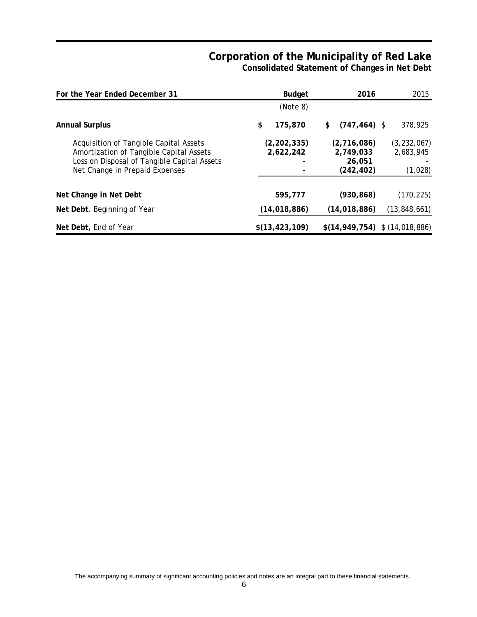# **Corporation of the Municipality of Red Lake**

**Consolidated Statement of Changes in Net Debt**

| For the Year Ended December 31                                                                                                                                     | <b>Budget</b>                   | 2016                                             | 2015                                  |
|--------------------------------------------------------------------------------------------------------------------------------------------------------------------|---------------------------------|--------------------------------------------------|---------------------------------------|
|                                                                                                                                                                    | (Note 8)                        |                                                  |                                       |
| <b>Annual Surplus</b>                                                                                                                                              | 175,870<br>\$                   | $(747, 464)$ \$<br>\$                            | 378,925                               |
| Acquisition of Tangible Capital Assets<br>Amortization of Tangible Capital Assets<br>Loss on Disposal of Tangible Capital Assets<br>Net Change in Prepaid Expenses | (2, 202, 335)<br>2,622,242<br>٠ | (2,716,086)<br>2,749,033<br>26,051<br>(242, 402) | (3, 232, 067)<br>2,683,945<br>(1,028) |
| Net Change in Net Debt                                                                                                                                             | 595,777                         | (930, 868)                                       | (170, 225)                            |
| Net Debt, Beginning of Year                                                                                                                                        | (14, 018, 886)                  | (14, 018, 886)                                   | (13, 848, 661)                        |
| Net Debt, End of Year                                                                                                                                              | \$(13, 423, 109)                | $$(14, 949, 754)$ $$(14, 018, 886)$              |                                       |

The accompanying summary of significant accounting policies and notes are an integral part to these financial statements.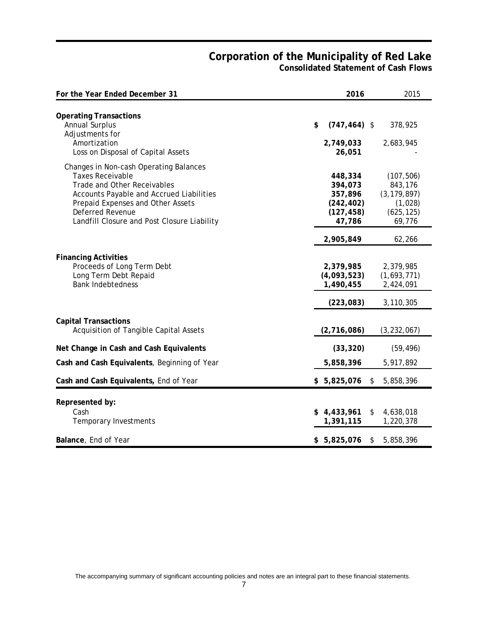# **Corporation of the Municipality of Red Lake**

**Consolidated Statement of Cash Flows**

| For the Year Ended December 31                                                                                                                                                                                                                              | 2016<br>2015                                                                                                                                     |
|-------------------------------------------------------------------------------------------------------------------------------------------------------------------------------------------------------------------------------------------------------------|--------------------------------------------------------------------------------------------------------------------------------------------------|
| <b>Operating Transactions</b><br>Annual Surplus<br>Adjustments for<br>Amortization<br>Loss on Disposal of Capital Assets                                                                                                                                    | \$<br>$(747, 464)$ \$<br>378,925<br>2,749,033<br>2,683,945<br>26,051                                                                             |
| Changes in Non-cash Operating Balances<br><b>Taxes Receivable</b><br><b>Trade and Other Receivables</b><br>Accounts Payable and Accrued Liabilities<br>Prepaid Expenses and Other Assets<br>Deferred Revenue<br>Landfill Closure and Post Closure Liability | 448,334<br>(107, 506)<br>394,073<br>843,176<br>357,896<br>(3, 179, 897)<br>(242, 402)<br>(1,028)<br>(127, 458)<br>(625, 125)<br>47,786<br>69,776 |
| <b>Financing Activities</b><br>Proceeds of Long Term Debt<br>Long Term Debt Repaid<br><b>Bank Indebtedness</b>                                                                                                                                              | 2,905,849<br>62,266<br>2,379,985<br>2,379,985<br>(4,093,523)<br>(1,693,771)<br>1,490,455<br>2,424,091<br>3,110,305<br>(223, 083)                 |
| <b>Capital Transactions</b><br>Acquisition of Tangible Capital Assets                                                                                                                                                                                       | (3, 232, 067)<br>(2,716,086)                                                                                                                     |
| Net Change in Cash and Cash Equivalents                                                                                                                                                                                                                     | (33, 320)<br>(59, 496)                                                                                                                           |
| Cash and Cash Equivalents, Beginning of Year                                                                                                                                                                                                                | 5,858,396<br>5,917,892                                                                                                                           |
| Cash and Cash Equivalents, End of Year                                                                                                                                                                                                                      | \$5,825,076<br>\$<br>5,858,396                                                                                                                   |
| Represented by:<br>Cash<br><b>Temporary Investments</b><br>Balance, End of Year                                                                                                                                                                             | \$4,433,961<br>4,638,018<br>\$<br>1,391,115<br>1,220,378<br>\$5,825,076<br>5,858,396<br>\$                                                       |

The accompanying summary of significant accounting policies and notes are an integral part to these financial statements.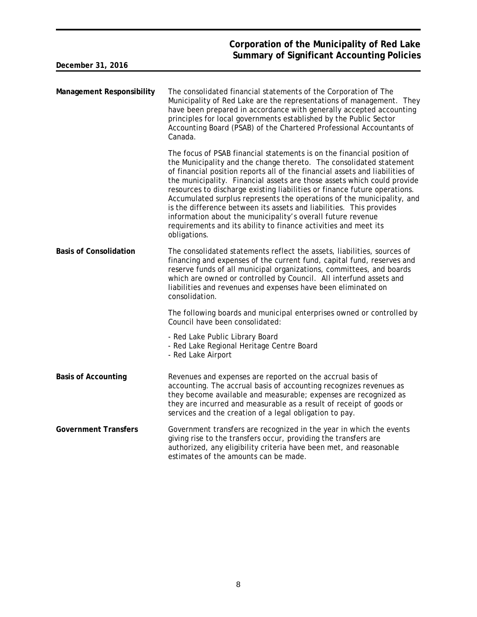| December 31, 2016 |  |  |
|-------------------|--|--|
|-------------------|--|--|

| Management Responsibility     | The consolidated financial statements of the Corporation of The<br>Municipality of Red Lake are the representations of management. They<br>have been prepared in accordance with generally accepted accounting<br>principles for local governments established by the Public Sector<br>Accounting Board (PSAB) of the Chartered Professional Accountants of<br>Canada.                                                                                                                                                                                                                                                                                                                   |
|-------------------------------|------------------------------------------------------------------------------------------------------------------------------------------------------------------------------------------------------------------------------------------------------------------------------------------------------------------------------------------------------------------------------------------------------------------------------------------------------------------------------------------------------------------------------------------------------------------------------------------------------------------------------------------------------------------------------------------|
|                               | The focus of PSAB financial statements is on the financial position of<br>the Municipality and the change thereto. The consolidated statement<br>of financial position reports all of the financial assets and liabilities of<br>the municipality. Financial assets are those assets which could provide<br>resources to discharge existing liabilities or finance future operations.<br>Accumulated surplus represents the operations of the municipality, and<br>is the difference between its assets and liabilities. This provides<br>information about the municipality's overall future revenue<br>requirements and its ability to finance activities and meet its<br>obligations. |
| <b>Basis of Consolidation</b> | The consolidated statements reflect the assets, liabilities, sources of<br>financing and expenses of the current fund, capital fund, reserves and<br>reserve funds of all municipal organizations, committees, and boards<br>which are owned or controlled by Council. All interfund assets and<br>liabilities and revenues and expenses have been eliminated on<br>consolidation.                                                                                                                                                                                                                                                                                                       |
|                               | The following boards and municipal enterprises owned or controlled by<br>Council have been consolidated:                                                                                                                                                                                                                                                                                                                                                                                                                                                                                                                                                                                 |
|                               | - Red Lake Public Library Board<br>- Red Lake Regional Heritage Centre Board<br>- Red Lake Airport                                                                                                                                                                                                                                                                                                                                                                                                                                                                                                                                                                                       |
| <b>Basis of Accounting</b>    | Revenues and expenses are reported on the accrual basis of<br>accounting. The accrual basis of accounting recognizes revenues as<br>they become available and measurable; expenses are recognized as<br>they are incurred and measurable as a result of receipt of goods or<br>services and the creation of a legal obligation to pay.                                                                                                                                                                                                                                                                                                                                                   |
| <b>Government Transfers</b>   | Government transfers are recognized in the year in which the events<br>giving rise to the transfers occur, providing the transfers are<br>authorized, any eligibility criteria have been met, and reasonable<br>estimates of the amounts can be made.                                                                                                                                                                                                                                                                                                                                                                                                                                    |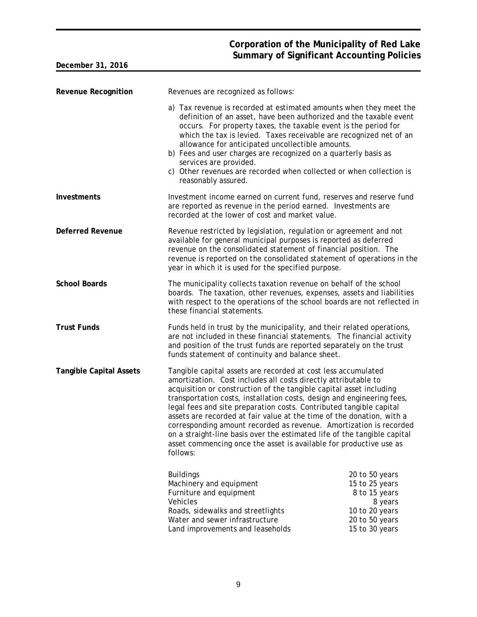| <b>Revenue Recognition</b>     | Revenues are recognized as follows:                                                                                                                                                                                                                                                                                                                                                                                                                                                                                                                                                                                                                                  |                                                                                                                    |
|--------------------------------|----------------------------------------------------------------------------------------------------------------------------------------------------------------------------------------------------------------------------------------------------------------------------------------------------------------------------------------------------------------------------------------------------------------------------------------------------------------------------------------------------------------------------------------------------------------------------------------------------------------------------------------------------------------------|--------------------------------------------------------------------------------------------------------------------|
|                                | a) Tax revenue is recorded at estimated amounts when they meet the<br>definition of an asset, have been authorized and the taxable event<br>occurs. For property taxes, the taxable event is the period for<br>which the tax is levied. Taxes receivable are recognized net of an<br>allowance for anticipated uncollectible amounts.<br>b) Fees and user charges are recognized on a quarterly basis as<br>services are provided.<br>c) Other revenues are recorded when collected or when collection is<br>reasonably assured.                                                                                                                                     |                                                                                                                    |
| <b>Investments</b>             | Investment income earned on current fund, reserves and reserve fund<br>are reported as revenue in the period earned. Investments are<br>recorded at the lower of cost and market value.                                                                                                                                                                                                                                                                                                                                                                                                                                                                              |                                                                                                                    |
| <b>Deferred Revenue</b>        | Revenue restricted by legislation, regulation or agreement and not<br>available for general municipal purposes is reported as deferred<br>revenue on the consolidated statement of financial position. The<br>revenue is reported on the consolidated statement of operations in the<br>year in which it is used for the specified purpose.                                                                                                                                                                                                                                                                                                                          |                                                                                                                    |
| <b>School Boards</b>           | The municipality collects taxation revenue on behalf of the school<br>boards. The taxation, other revenues, expenses, assets and liabilities<br>with respect to the operations of the school boards are not reflected in<br>these financial statements.                                                                                                                                                                                                                                                                                                                                                                                                              |                                                                                                                    |
| <b>Trust Funds</b>             | Funds held in trust by the municipality, and their related operations,<br>are not included in these financial statements. The financial activity<br>and position of the trust funds are reported separately on the trust<br>funds statement of continuity and balance sheet.                                                                                                                                                                                                                                                                                                                                                                                         |                                                                                                                    |
| <b>Tangible Capital Assets</b> | Tangible capital assets are recorded at cost less accumulated<br>amortization. Cost includes all costs directly attributable to<br>acquisition or construction of the tangible capital asset including<br>transportation costs, installation costs, design and engineering fees,<br>legal fees and site preparation costs. Contributed tangible capital<br>assets are recorded at fair value at the time of the donation, with a<br>corresponding amount recorded as revenue. Amortization is recorded<br>on a straight-line basis over the estimated life of the tangible capital<br>asset commencing once the asset is available for productive use as<br>follows: |                                                                                                                    |
|                                | <b>Buildings</b><br>Machinery and equipment<br>Furniture and equipment<br>Vehicles<br>Roads, sidewalks and streetlights<br>Water and sewer infrastructure<br>Land improvements and leaseholds                                                                                                                                                                                                                                                                                                                                                                                                                                                                        | 20 to 50 years<br>15 to 25 years<br>8 to 15 years<br>8 years<br>10 to 20 years<br>20 to 50 years<br>15 to 30 years |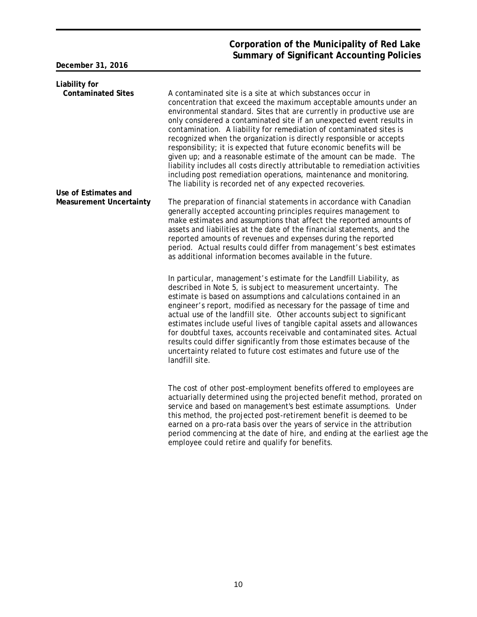| Liability for<br><b>Contaminated Sites</b>             | A contaminated site is a site at which substances occur in<br>concentration that exceed the maximum acceptable amounts under an<br>environmental standard. Sites that are currently in productive use are<br>only considered a contaminated site if an unexpected event results in<br>contamination. A liability for remediation of contaminated sites is<br>recognized when the organization is directly responsible or accepts<br>responsibility; it is expected that future economic benefits will be<br>given up; and a reasonable estimate of the amount can be made. The<br>liability includes all costs directly attributable to remediation activities<br>including post remediation operations, maintenance and monitoring.<br>The liability is recorded net of any expected recoveries. |
|--------------------------------------------------------|---------------------------------------------------------------------------------------------------------------------------------------------------------------------------------------------------------------------------------------------------------------------------------------------------------------------------------------------------------------------------------------------------------------------------------------------------------------------------------------------------------------------------------------------------------------------------------------------------------------------------------------------------------------------------------------------------------------------------------------------------------------------------------------------------|
| Use of Estimates and<br><b>Measurement Uncertainty</b> | The preparation of financial statements in accordance with Canadian<br>generally accepted accounting principles requires management to<br>make estimates and assumptions that affect the reported amounts of<br>assets and liabilities at the date of the financial statements, and the<br>reported amounts of revenues and expenses during the reported<br>period. Actual results could differ from management's best estimates<br>as additional information becomes available in the future.                                                                                                                                                                                                                                                                                                    |
|                                                        | In particular, management's estimate for the Landfill Liability, as<br>described in Note 5, is subject to measurement uncertainty. The<br>estimate is based on assumptions and calculations contained in an<br>engineer's report, modified as necessary for the passage of time and<br>actual use of the landfill site. Other accounts subject to significant<br>estimates include useful lives of tangible capital assets and allowances<br>for doubtful taxes, accounts receivable and contaminated sites. Actual<br>results could differ significantly from those estimates because of the<br>uncertainty related to future cost estimates and future use of the<br>landfill site.                                                                                                             |
|                                                        | The cost of other post-employment benefits offered to employees are<br>actuarially determined using the projected benefit method, prorated on<br>service and based on management's best estimate assumptions. Under<br>this method, the projected post-retirement benefit is deemed to be<br>earned on a pro-rata basis over the years of service in the attribution                                                                                                                                                                                                                                                                                                                                                                                                                              |

employee could retire and qualify for benefits.

period commencing at the date of hire, and ending at the earliest age the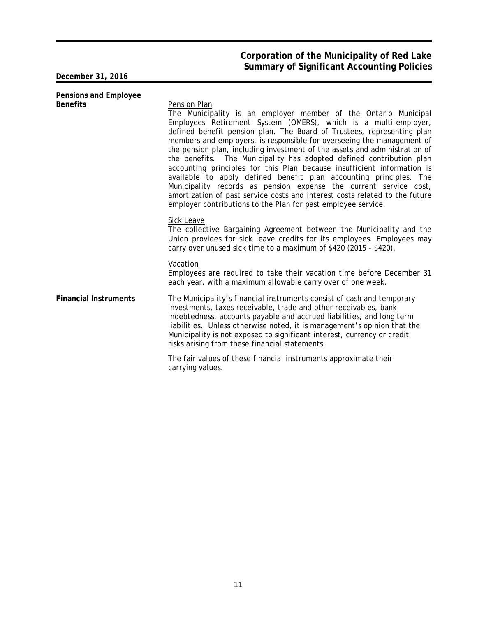# **Corporation of the Municipality of Red Lake Summary of Significant Accounting Policies**

**December 31, 2016**

| Pensions and Employee<br><b>Benefits</b> | Pension Plan<br>The Municipality is an employer member of the Ontario Municipal<br>Employees Retirement System (OMERS), which is a multi-employer,<br>defined benefit pension plan. The Board of Trustees, representing plan<br>members and employers, is responsible for overseeing the management of<br>the pension plan, including investment of the assets and administration of<br>the benefits. The Municipality has adopted defined contribution plan<br>accounting principles for this Plan because insufficient information is<br>available to apply defined benefit plan accounting principles. The<br>Municipality records as pension expense the current service cost,<br>amortization of past service costs and interest costs related to the future<br>employer contributions to the Plan for past employee service. |  |
|------------------------------------------|------------------------------------------------------------------------------------------------------------------------------------------------------------------------------------------------------------------------------------------------------------------------------------------------------------------------------------------------------------------------------------------------------------------------------------------------------------------------------------------------------------------------------------------------------------------------------------------------------------------------------------------------------------------------------------------------------------------------------------------------------------------------------------------------------------------------------------|--|
|                                          | Sick Leave<br>The collective Bargaining Agreement between the Municipality and the<br>Union provides for sick leave credits for its employees. Employees may<br>carry over unused sick time to a maximum of \$420 (2015 - \$420).                                                                                                                                                                                                                                                                                                                                                                                                                                                                                                                                                                                                  |  |
|                                          | Vacation<br>Employees are required to take their vacation time before December 31<br>each year, with a maximum allowable carry over of one week.                                                                                                                                                                                                                                                                                                                                                                                                                                                                                                                                                                                                                                                                                   |  |
| <b>Financial Instruments</b>             | The Municipality's financial instruments consist of cash and temporary<br>investments, taxes receivable, trade and other receivables, bank<br>indebtedness, accounts payable and accrued liabilities, and long term<br>liabilities. Unless otherwise noted, it is management's opinion that the<br>Municipality is not exposed to significant interest, currency or credit<br>risks arising from these financial statements.                                                                                                                                                                                                                                                                                                                                                                                                       |  |
|                                          | The fair values of these financial instruments approximate their<br>carrying values.                                                                                                                                                                                                                                                                                                                                                                                                                                                                                                                                                                                                                                                                                                                                               |  |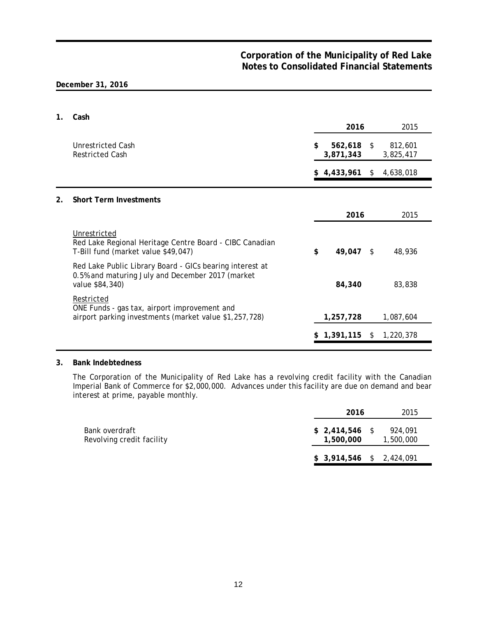# **Corporation of the Municipality of Red Lake Notes to Consolidated Financial Statements**

# **December 31, 2016**

**1. Cash**

| 1. | Cash                                                                                                                            | 2016                          |    | 2015                 |
|----|---------------------------------------------------------------------------------------------------------------------------------|-------------------------------|----|----------------------|
|    | Unrestricted Cash<br><b>Restricted Cash</b>                                                                                     | \$<br>562,618 \$<br>3,871,343 |    | 812,601<br>3,825,417 |
|    |                                                                                                                                 | 4,433,961                     | S. | 4,638,018            |
| 2. | <b>Short Term Investments</b>                                                                                                   |                               |    |                      |
|    |                                                                                                                                 | 2016                          |    | 2015                 |
|    | Unrestricted<br>Red Lake Regional Heritage Centre Board - CIBC Canadian<br>T-Bill fund (market value \$49,047)                  | \$<br>49,047                  | \$ | 48,936               |
|    | Red Lake Public Library Board - GICs bearing interest at<br>0.5% and maturing July and December 2017 (market<br>value \$84,340) | 84,340                        |    | 83,838               |
|    | Restricted<br>ONE Funds - gas tax, airport improvement and<br>airport parking investments (market value \$1,257,728)            | 1,257,728                     |    | 1,087,604            |
|    |                                                                                                                                 | 1,391,115                     | S  | 1,220,378            |
|    |                                                                                                                                 |                               |    |                      |

# **3. Bank Indebtedness**

The Corporation of the Municipality of Red Lake has a revolving credit facility with the Canadian Imperial Bank of Commerce for \$2,000,000. Advances under this facility are due on demand and bear interest at prime, payable monthly.

|                                             | 2015<br>2016                                         |
|---------------------------------------------|------------------------------------------------------|
| Bank overdraft<br>Revolving credit facility | $$2.414.546$ \$<br>924.091<br>1,500,000<br>1,500,000 |
|                                             | $$3,914,546$ $$2,424,091$                            |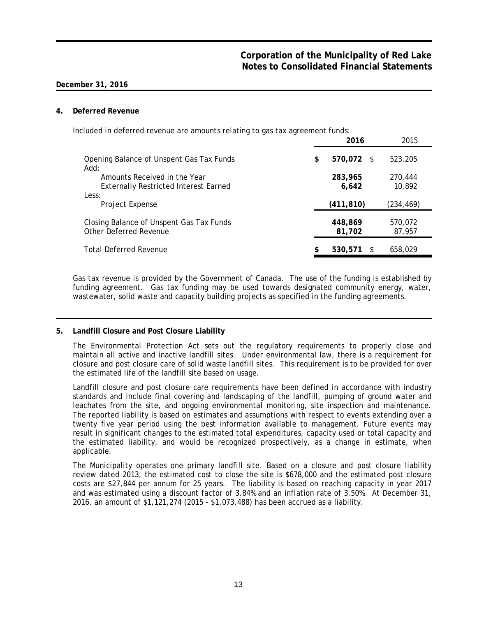# **4. Deferred Revenue**

Included in deferred revenue are amounts relating to gas tax agreement funds:

|                                                                    | 2016               | 2015              |
|--------------------------------------------------------------------|--------------------|-------------------|
| Opening Balance of Unspent Gas Tax Funds<br>Add:                   | \$<br>570,072 \$   | 523,205           |
| Amounts Received in the Year                                       | 283,965            | 270.444           |
| <b>Externally Restricted Interest Earned</b><br>Less:              | 6,642              | 10,892            |
| Project Expense                                                    | (411, 810)         | (234, 469)        |
| Closing Balance of Unspent Gas Tax Funds<br>Other Deferred Revenue | 448,869<br>81,702  | 570,072<br>87,957 |
| <b>Total Deferred Revenue</b>                                      | \$<br>530,571<br>S | 658,029           |

Gas tax revenue is provided by the Government of Canada. The use of the funding is established by funding agreement. Gas tax funding may be used towards designated community energy, water, wastewater, solid waste and capacity building projects as specified in the funding agreements.

# **5. Landfill Closure and Post Closure Liability**

The Environmental Protection Act sets out the regulatory requirements to properly close and maintain all active and inactive landfill sites. Under environmental law, there is a requirement for closure and post closure care of solid waste landfill sites. This requirement is to be provided for over the estimated life of the landfill site based on usage.

Landfill closure and post closure care requirements have been defined in accordance with industry standards and include final covering and landscaping of the landfill, pumping of ground water and leachates from the site, and ongoing environmental monitoring, site inspection and maintenance. The reported liability is based on estimates and assumptions with respect to events extending over a twenty five year period using the best information available to management. Future events may result in significant changes to the estimated total expenditures, capacity used or total capacity and the estimated liability, and would be recognized prospectively, as a change in estimate, when applicable.

The Municipality operates one primary landfill site. Based on a closure and post closure liability review dated 2013, the estimated cost to close the site is \$678,000 and the estimated post closure costs are \$27,844 per annum for 25 years. The liability is based on reaching capacity in year 2017 and was estimated using a discount factor of 3.84% and an inflation rate of 3.50%. At December 31, 2016, an amount of \$1,121,274 (2015 - \$1,073,488) has been accrued as a liability.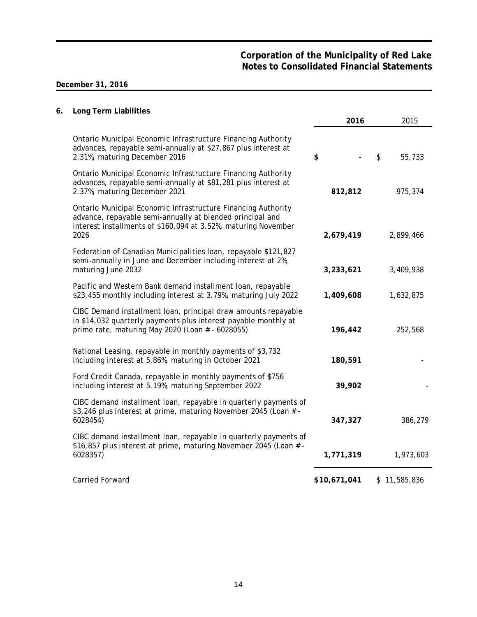# **Corporation of the Municipality of Red Lake Notes to Consolidated Financial Statements**

# **December 31, 2016**

# **6. Long Term Liabilities**

|                                                                                                                                                                                                      | 2016         | 2015         |
|------------------------------------------------------------------------------------------------------------------------------------------------------------------------------------------------------|--------------|--------------|
| Ontario Municipal Economic Infrastructure Financing Authority<br>advances, repayable semi-annually at \$27,867 plus interest at<br>2.31%, maturing December 2016                                     | \$           | \$<br>55,733 |
| Ontario Municipal Economic Infrastructure Financing Authority<br>advances, repayable semi-annually at \$81,281 plus interest at<br>2.37%, maturing December 2021                                     | 812,812      | 975,374      |
| Ontario Municipal Economic Infrastructure Financing Authority<br>advance, repayable semi-annually at blended principal and<br>interest installments of \$160,094 at 3.52%, maturing November<br>2026 | 2,679,419    | 2,899,466    |
| Federation of Canadian Municipalities Ioan, repayable \$121,827<br>semi-annually in June and December including interest at 2%,<br>maturing June 2032                                                | 3,233,621    | 3,409,938    |
| Pacific and Western Bank demand installment loan, repayable<br>\$23,455 monthly including interest at 3.79%, maturing July 2022                                                                      | 1,409,608    | 1,632,875    |
| CIBC Demand installment loan, principal draw amounts repayable<br>in \$14,032 quarterly payments plus interest payable monthly at<br>prime rate, maturing May 2020 (Loan # - 6028055)                | 196,442      | 252,568      |
| National Leasing, repayable in monthly payments of \$3,732<br>including interest at 5.86%, maturing in October 2021                                                                                  | 180,591      |              |
| Ford Credit Canada, repayable in monthly payments of \$756<br>including interest at 5.19%, maturing September 2022                                                                                   | 39,902       |              |
| CIBC demand installment loan, repayable in quarterly payments of<br>\$3,246 plus interest at prime, maturing November 2045 (Loan #-<br>6028454)                                                      | 347,327      | 386,279      |
| CIBC demand installment loan, repayable in quarterly payments of<br>\$16,857 plus interest at prime, maturing November 2045 (Loan #-<br>6028357)                                                     | 1,771,319    | 1,973,603    |
| <b>Carried Forward</b>                                                                                                                                                                               | \$10,671,041 | \$11,585,836 |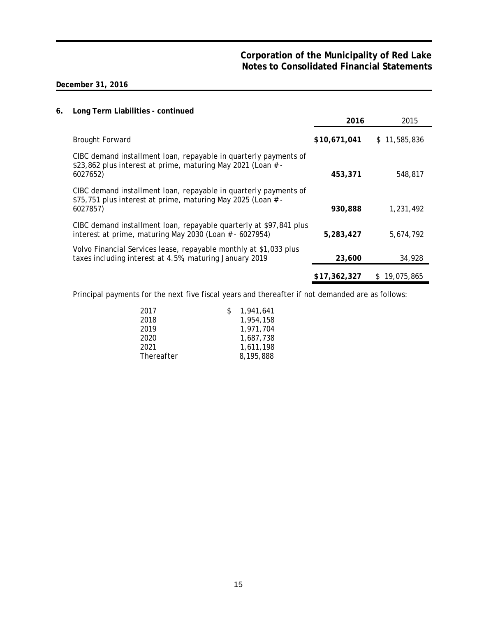# **Corporation of the Municipality of Red Lake Notes to Consolidated Financial Statements**

# **December 31, 2016**

| 6. | Long Term Liabilities - continued                                                                                                           |              |              |
|----|---------------------------------------------------------------------------------------------------------------------------------------------|--------------|--------------|
|    |                                                                                                                                             | 2016         | 2015         |
|    | Brought Forward                                                                                                                             | \$10,671,041 | \$11,585,836 |
|    | CIBC demand installment loan, repayable in quarterly payments of<br>\$23,862 plus interest at prime, maturing May 2021 (Loan #-<br>6027652) | 453,371      | 548.817      |
|    | CIBC demand installment loan, repayable in quarterly payments of<br>\$75,751 plus interest at prime, maturing May 2025 (Loan #-<br>6027857) | 930,888      | 1,231,492    |
|    | CIBC demand installment loan, repayable quarterly at \$97,841 plus<br>interest at prime, maturing May 2030 (Loan # - 6027954)               | 5,283,427    | 5,674,792    |
|    | Volvo Financial Services lease, repayable monthly at \$1,033 plus<br>taxes including interest at 4.5%, maturing January 2019                | 23,600       | 34,928       |
|    |                                                                                                                                             | \$17,362,327 | \$19,075,865 |
|    |                                                                                                                                             |              |              |

Principal payments for the next five fiscal years and thereafter if not demanded are as follows:

| 2017       | 1.941.641 |
|------------|-----------|
| 2018       | 1,954,158 |
| 2019       | 1.971.704 |
| 2020       | 1.687.738 |
| 2021       | 1.611.198 |
| Thereafter | 8,195,888 |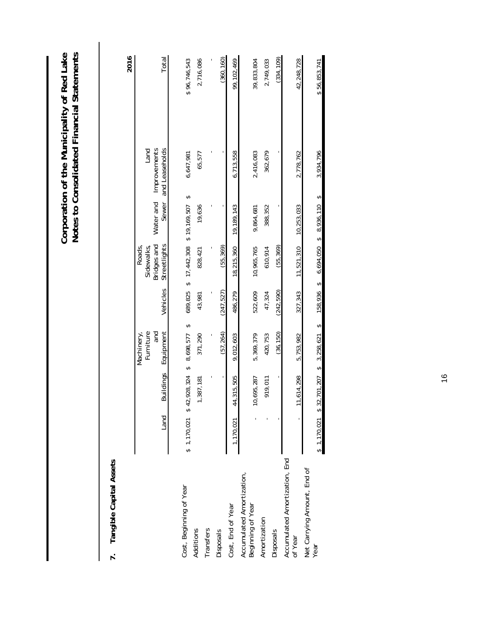| Corporation of the Municipality of Red Lake | Notes to Consolidated Financial Statements |
|---------------------------------------------|--------------------------------------------|
|                                             |                                            |

7. Tangible Capital Assets **7. Tangible Capital Assets**

|                                                |           |                  |                                                  |            |                                                     |                    |                                        | 2016         |
|------------------------------------------------|-----------|------------------|--------------------------------------------------|------------|-----------------------------------------------------|--------------------|----------------------------------------|--------------|
|                                                | Land      | <b>Buildings</b> | Furniture<br>and<br>Equipment<br>Machinery       | Vehicles   | Streetlights<br>Bridges and<br>Roads,<br>Sidewalks, | Water and<br>Sewer | Improvements<br>Land<br>and Leaseholds | Total        |
| Cost, Beginning of Year                        |           |                  | \$ 1, 170, 021 \$ 42, 928, 324 \$ 8, 698, 577 \$ |            | 689,825 \$ 17,442,308 \$ 19,169,507                 |                    | 6,647,981<br>↮                         | \$96,746,543 |
| Transfers<br>Additions                         |           | ,387,181         | 371,290                                          | 43,981     | 828,421                                             | 19,636             | 65,577                                 | 2,716,086    |
| Disposals                                      |           |                  | (57, 264)                                        | (247, 527) | (55, 369)                                           |                    |                                        | (360, 160)   |
| Cost, End of Year                              | 1,170,021 | 44,315,505       | 9,012,603                                        | 486,279    | 18,215,360                                          | 19, 189, 143       | 6,713,558                              | 99, 102, 469 |
| Accumulated Amortization,<br>Beginning of Year |           | 10,695,287       | 5,369,379                                        | 522,609    | 10,965,765                                          | 9,864,681          | 2,416,083                              | 39,833,804   |
| Amortization                                   |           | 919,011          | 420,753                                          | 47,324     | 610,914                                             | 388,352            | 362,679                                | 2,749,033    |
| Disposals                                      |           |                  | (36, 150)                                        | (242, 590) | (55, 369)                                           |                    |                                        | (334, 109)   |
| Accumulated Amortization, End<br>of Year       |           | 11,614,298       | 5,753,982                                        | 327,343    | 11,521,310                                          | 10,253,033         | 2,778,762                              | 42,248,728   |
| Net Carrying Amount, End of<br>Year            |           |                  | $$1,170,021$ \$ 32,701,207 \$ 3,258,621 \$       |            | 158,936 \$ 6,694,050 \$ 8,936,110 \$                |                    | 3,934,796                              | \$56,853,741 |
|                                                |           |                  |                                                  |            |                                                     |                    |                                        |              |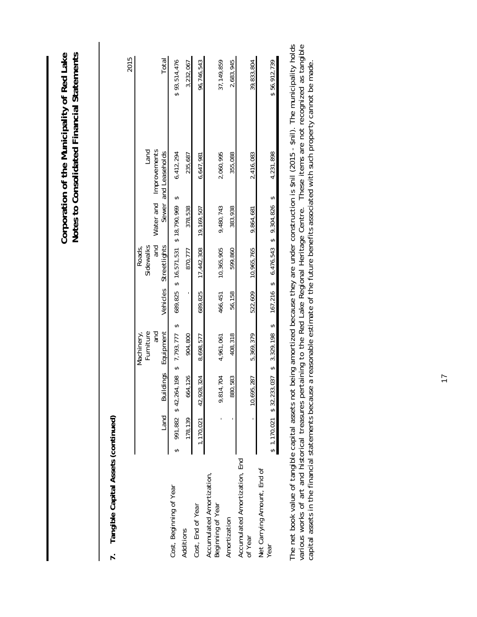| Notes to Consolidated Financial Statements |
|--------------------------------------------|
|                                            |
|                                            |
|                                            |
|                                            |
|                                            |
|                                            |
|                                            |
|                                            |
|                                            |
|                                            |
|                                            |
|                                            |
|                                            |
|                                            |
|                                            |

# 7. Tangible Capital Assets (continued) **7. Tangible Capital Assets (continued)**

|                                                |         |                          | Machinery,                                                             |         | Roads,                                    |                                          |                              |              |
|------------------------------------------------|---------|--------------------------|------------------------------------------------------------------------|---------|-------------------------------------------|------------------------------------------|------------------------------|--------------|
|                                                |         | Land Buildings Equipment | Furniture<br>and                                                       |         | and<br>Vehicles Streetlights<br>Sidewalks | Water and Improvements                   | Land<br>Sewer and Leaseholds | Total        |
| Cost, Beginning of Year                        |         |                          | 991,882 \$42,264,198 \$692 \$6925 \$693 \$6935 \$691,571,531 \$189,825 |         |                                           |                                          | 6,412,294                    | \$93,514,476 |
| Additions                                      | 178,139 | 664,126                  | 904,800                                                                |         | 870,777                                   | 378,538                                  | 235,687                      | 3,232,067    |
| Cost, End of Year                              |         | $1,170,021$ 42,928,324   | 8,698,577                                                              | 689,825 | 17, 442, 308 19, 169, 507                 |                                          | 6,647,981                    | 96,746,543   |
| Accumulated Amortization,<br>Beginning of Year |         | 9,814,704                | 4,961,061                                                              | 466,451 | 10,365,905                                | 9,480,743                                | 2,060,995                    | 37, 149, 859 |
| Amortization                                   |         | 880,583                  | 408.318                                                                | 56,158  | 599,860                                   | 383,938                                  | 355,088                      | 2,683,945    |
| Accumulated Amortization, End                  |         | 10,695,287               | 5,369,379                                                              |         | 522,609 10,965,765                        | 9,864,681                                | 2,416,083                    | 39,833,804   |
| Net Carrying Amount, End of                    |         |                          | $$1,170,021$ \$ 32,233,037 \$ 3,329,198 \$                             |         |                                           | $167,216$ \$ $6,476,543$ \$ 9,304,826 \$ | 4,231,898                    | \$56,912,739 |

The net book value of tangible capital assets not being amortized because they are under construction is \$nil (2015 - \$nil). The municipality holds<br>various works of art and historical treasures pertaining to the Red Lake R The net book value of tangible capital assets not being amortized because they are under construction is \$nil (2015 - \$nil). The municipality holds various works of art and historical treasures pertaining to the Red Lake Regional Heritage Centre. These items are not recognized as tangible capital assets in the financial statements because a reasonable estimate of the future benefits associated with such property cannot be made.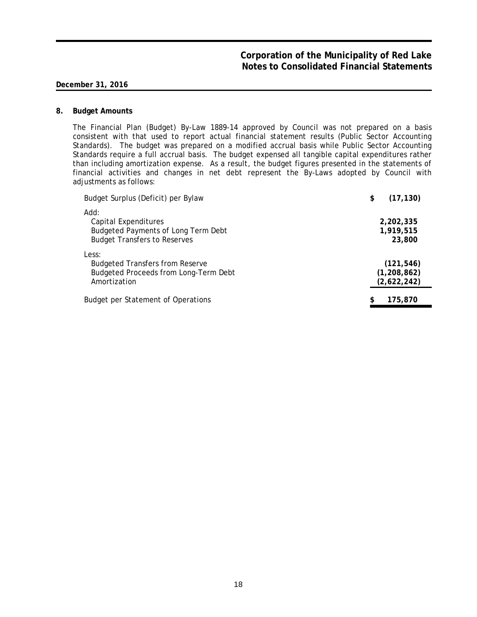# **8. Budget Amounts**

The Financial Plan (Budget) By-Law 1889-14 approved by Council was not prepared on a basis consistent with that used to report actual financial statement results (Public Sector Accounting Standards). The budget was prepared on a modified accrual basis while Public Sector Accounting Standards require a full accrual basis. The budget expensed all tangible capital expenditures rather than including amortization expense. As a result, the budget figures presented in the statements of financial activities and changes in net debt represent the By-Laws adopted by Council with adjustments as follows:

| Budget Surplus (Deficit) per Bylaw                                                                                | (17, 130)<br>\$                            |
|-------------------------------------------------------------------------------------------------------------------|--------------------------------------------|
| Add:<br>Capital Expenditures<br><b>Budgeted Payments of Long Term Debt</b><br><b>Budget Transfers to Reserves</b> | 2,202,335<br>1,919,515<br>23,800           |
| Less:<br><b>Budgeted Transfers from Reserve</b><br>Budgeted Proceeds from Long-Term Debt<br>Amortization          | (121, 546)<br>(1, 208, 862)<br>(2,622,242) |
| Budget per Statement of Operations                                                                                | 175,870<br>\$                              |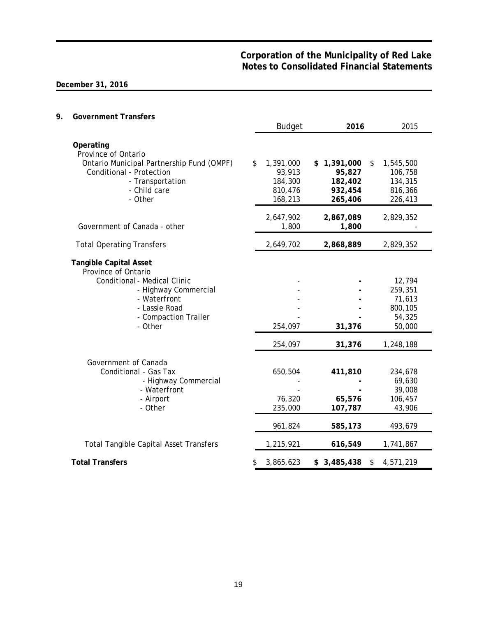# **Corporation of the Municipality of Red Lake Notes to Consolidated Financial Statements**

# **December 31, 2016**

| 9. | <b>Government Transfers</b>                                                                                                                                                             |                                                            | 2016                                                       | 2015                                                        |
|----|-----------------------------------------------------------------------------------------------------------------------------------------------------------------------------------------|------------------------------------------------------------|------------------------------------------------------------|-------------------------------------------------------------|
|    |                                                                                                                                                                                         | <b>Budget</b>                                              |                                                            |                                                             |
|    | Operating<br>Province of Ontario<br>Ontario Municipal Partnership Fund (OMPF)<br><b>Conditional - Protection</b><br>- Transportation<br>- Child care<br>- Other                         | \$<br>1,391,000<br>93,913<br>184,300<br>810,476<br>168,213 | 1,391,000<br>\$<br>95,827<br>182,402<br>932,454<br>265,406 | \$<br>1,545,500<br>106,758<br>134,315<br>816,366<br>226,413 |
|    | Government of Canada - other                                                                                                                                                            | 2,647,902<br>1,800                                         | 2,867,089<br>1,800                                         | 2,829,352                                                   |
|    | <b>Total Operating Transfers</b>                                                                                                                                                        | 2,649,702                                                  | 2,868,889                                                  | 2,829,352                                                   |
|    | <b>Tangible Capital Asset</b><br>Province of Ontario<br><b>Conditional - Medical Clinic</b><br>- Highway Commercial<br>- Waterfront<br>- Lassie Road<br>- Compaction Trailer<br>- Other | 254,097                                                    | 31,376                                                     | 12,794<br>259,351<br>71,613<br>800,105<br>54,325<br>50,000  |
|    |                                                                                                                                                                                         | 254,097                                                    | 31,376                                                     | 1,248,188                                                   |
|    | Government of Canada<br>Conditional - Gas Tax<br>- Highway Commercial<br>- Waterfront<br>- Airport<br>- Other                                                                           | 650,504<br>76,320<br>235,000<br>961,824                    | 411,810<br>65,576<br>107,787<br>585,173                    | 234,678<br>69,630<br>39,008<br>106,457<br>43,906<br>493,679 |
|    | <b>Total Tangible Capital Asset Transfers</b>                                                                                                                                           | 1,215,921                                                  | 616,549                                                    | 1,741,867                                                   |
|    | <b>Total Transfers</b>                                                                                                                                                                  | \$<br>3,865,623                                            | \$3,485,438                                                | 4,571,219<br>\$                                             |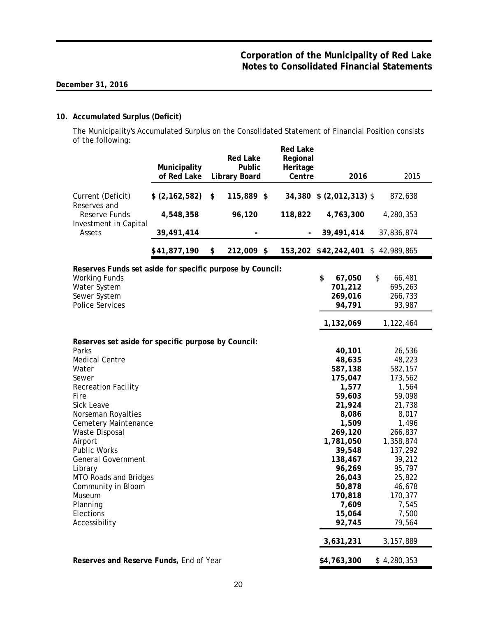# **10. Accumulated Surplus (Deficit)**

The Municipality's Accumulated Surplus on the Consolidated Statement of Financial Position consists of the following: **Red Lake**

|                                                           |               |                      | ked Lake |                                   |              |
|-----------------------------------------------------------|---------------|----------------------|----------|-----------------------------------|--------------|
|                                                           |               | <b>Red Lake</b>      | Regional |                                   |              |
|                                                           | Municipality  | Public               | Heritage |                                   |              |
|                                                           | of Red Lake   | <b>Library Board</b> | Centre   | 2016                              | 2015         |
| Current (Deficit)<br>Reserves and                         | \$(2,162,582) | \$<br>115,889 \$     |          | 34,380 \$ (2,012,313) \$          | 872,638      |
| Reserve Funds                                             | 4,548,358     | 96,120               | 118,822  | 4,763,300                         | 4,280,353    |
| Investment in Capital<br>Assets                           | 39,491,414    |                      |          | 39,491,414                        | 37,836,874   |
|                                                           | \$41,877,190  | \$<br>212,009 \$     |          | 153,202 \$42,242,401 \$42,989,865 |              |
|                                                           |               |                      |          |                                   |              |
| Reserves Funds set aside for specific purpose by Council: |               |                      |          |                                   |              |
| <b>Working Funds</b>                                      |               |                      |          | \$<br>67,050                      | \$<br>66,481 |
| Water System                                              |               |                      |          | 701,212                           | 695,263      |
| Sewer System                                              |               |                      |          | 269,016                           | 266,733      |
| <b>Police Services</b>                                    |               |                      |          | 94,791                            | 93,987       |
|                                                           |               |                      |          | 1,132,069                         | 1,122,464    |
|                                                           |               |                      |          |                                   |              |
| Reserves set aside for specific purpose by Council:       |               |                      |          |                                   |              |
| Parks                                                     |               |                      |          | 40,101                            | 26,536       |
| <b>Medical Centre</b>                                     |               |                      |          | 48,635                            | 48,223       |
| Water                                                     |               |                      |          | 587,138                           | 582,157      |
| Sewer                                                     |               |                      |          | 175,047                           | 173,562      |
| <b>Recreation Facility</b>                                |               |                      |          | 1,577                             | 1,564        |
| Fire                                                      |               |                      |          | 59,603                            | 59,098       |
| Sick Leave                                                |               |                      |          | 21,924                            | 21,738       |
| Norseman Royalties                                        |               |                      |          | 8,086                             | 8,017        |
| Cemetery Maintenance                                      |               |                      |          | 1,509                             | 1,496        |
| Waste Disposal                                            |               |                      |          | 269,120                           | 266,837      |
| Airport                                                   |               |                      |          | 1,781,050                         | 1,358,874    |
| <b>Public Works</b>                                       |               |                      |          | 39,548                            | 137,292      |
| General Government                                        |               |                      |          | 138,467                           | 39,212       |
| Library                                                   |               |                      |          | 96,269                            | 95,797       |
| <b>MTO Roads and Bridges</b>                              |               |                      |          | 26,043                            | 25,822       |
| Community in Bloom                                        |               |                      |          | 50,878                            | 46,678       |
| <b>Museum</b>                                             |               |                      |          | 170,818                           | 170,377      |
| Planning                                                  |               |                      |          | 7,609                             | 7,545        |
| Elections                                                 |               |                      |          | 15,064                            | 7,500        |
| Accessibility                                             |               |                      |          | 92,745                            | 79,564       |
|                                                           |               |                      |          | 3,631,231                         | 3, 157, 889  |
| Reserves and Reserve Funds, End of Year                   |               |                      |          | \$4,763,300                       | \$4,280,353  |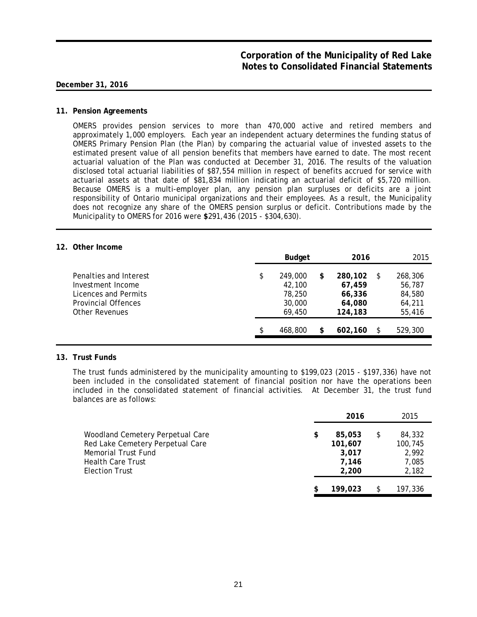# **11. Pension Agreements**

OMERS provides pension services to more than 470,000 active and retired members and approximately 1,000 employers. Each year an independent actuary determines the funding status of OMERS Primary Pension Plan (the Plan) by comparing the actuarial value of invested assets to the estimated present value of all pension benefits that members have earned to date. The most recent actuarial valuation of the Plan was conducted at December 31, 2016. The results of the valuation disclosed total actuarial liabilities of \$87,554 million in respect of benefits accrued for service with actuarial assets at that date of \$81,834 million indicating an actuarial deficit of \$5,720 million. Because OMERS is a multi-employer plan, any pension plan surpluses or deficits are a joint responsibility of Ontario municipal organizations and their employees. As a result, the Municipality does not recognize any share of the OMERS pension surplus or deficit. Contributions made by the Municipality to OMERS for 2016 were **\$**291,436 (2015 - \$304,630).

# **12. Other Income**

|                                                                                                                     | <b>Budget</b>                                         | 2016                                                   |    | 2015                                            |
|---------------------------------------------------------------------------------------------------------------------|-------------------------------------------------------|--------------------------------------------------------|----|-------------------------------------------------|
| Penalties and Interest<br>Investment Income<br>Licences and Permits<br><b>Provincial Offences</b><br>Other Revenues | \$<br>249,000<br>42,100<br>78,250<br>30,000<br>69,450 | \$<br>280,102<br>67,459<br>66,336<br>64,080<br>124,183 | -S | 268,306<br>56,787<br>84,580<br>64,211<br>55,416 |
|                                                                                                                     | \$<br>468,800                                         | \$<br>602,160                                          |    | 529,300                                         |

#### **13. Trust Funds**

The trust funds administered by the municipality amounting to \$199,023 (2015 - \$197,336) have not been included in the consolidated statement of financial position nor have the operations been included in the consolidated statement of financial activities. At December 31, the trust fund balances are as follows:

|                                                                                                                                |    | 2016                                | 2015                                |
|--------------------------------------------------------------------------------------------------------------------------------|----|-------------------------------------|-------------------------------------|
| Woodland Cemetery Perpetual Care<br>Red Lake Cemetery Perpetual Care<br><b>Memorial Trust Fund</b><br><b>Health Care Trust</b> | \$ | 85,053<br>101,607<br>3,017<br>7.146 | 84,332<br>100,745<br>2,992<br>7,085 |
| <b>Election Trust</b>                                                                                                          | S  | 2,200<br>199,023                    | 2,182<br>197,336                    |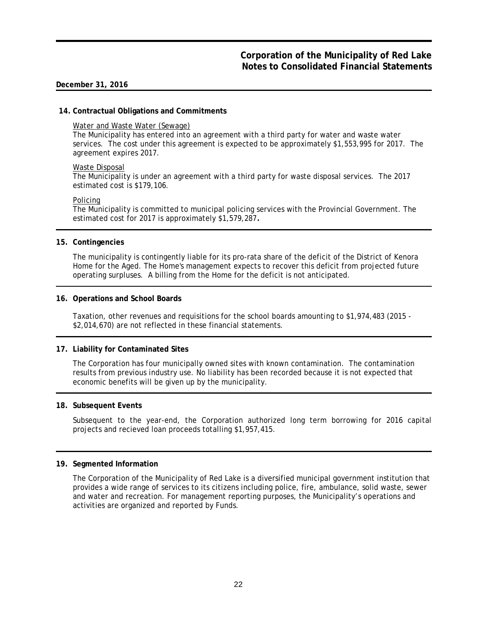# **14. Contractual Obligations and Commitments**

# Water and Waste Water (Sewage)

The Municipality has entered into an agreement with a third party for water and waste water services. The cost under this agreement is expected to be approximately \$1,553,995 for 2017. The agreement expires 2017.

# Waste Disposal

The Municipality is under an agreement with a third party for waste disposal services. The 2017 estimated cost is \$179,106.

# Policing

The Municipality is committed to municipal policing services with the Provincial Government. The estimated cost for 2017 is approximately \$1,579,287**.**

# **15. Contingencies**

The municipality is contingently liable for its pro-rata share of the deficit of the District of Kenora Home for the Aged. The Home's management expects to recover this deficit from projected future operating surpluses. A billing from the Home for the deficit is not anticipated.

# **16. Operations and School Boards**

Taxation, other revenues and requisitions for the school boards amounting to \$1,974,483 (2015 - \$2,014,670) are not reflected in these financial statements.

# **17. Liability for Contaminated Sites**

The Corporation has four municipally owned sites with known contamination. The contamination results from previous industry use. No liability has been recorded because it is not expected that economic benefits will be given up by the municipality.

# **18. Subsequent Events**

Subsequent to the year-end, the Corporation authorized long term borrowing for 2016 capital projects and recieved loan proceeds totalling \$1,957,415.

#### **19. Segmented Information**

The Corporation of the Municipality of Red Lake is a diversified municipal government institution that provides a wide range of services to its citizens including police, fire, ambulance, solid waste, sewer and water and recreation. For management reporting purposes, the Municipality's operations and activities are organized and reported by Funds.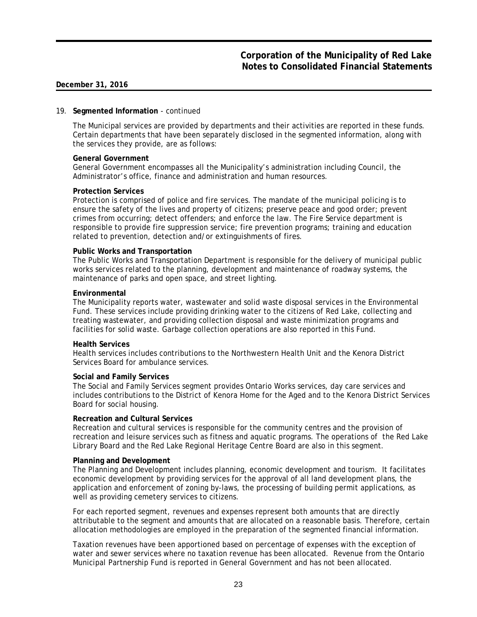# 19. **Segmented Information** - continued

The Municipal services are provided by departments and their activities are reported in these funds. Certain departments that have been separately disclosed in the segmented information, along with the services they provide, are as follows:

### **General Government**

General Government encompasses all the Municipality's administration including Council, the Administrator's office, finance and administration and human resources.

# **Protection Services**

Protection is comprised of police and fire services. The mandate of the municipal policing is to ensure the safety of the lives and property of citizens; preserve peace and good order; prevent crimes from occurring; detect offenders; and enforce the law. The Fire Service department is responsible to provide fire suppression service; fire prevention programs; training and education related to prevention, detection and/or extinguishments of fires.

# **Public Works and Transportation**

The Public Works and Transportation Department is responsible for the delivery of municipal public works services related to the planning, development and maintenance of roadway systems, the maintenance of parks and open space, and street lighting.

#### **Environmental**

The Municipality reports water, wastewater and solid waste disposal services in the Environmental Fund. These services include providing drinking water to the citizens of Red Lake, collecting and treating wastewater, and providing collection disposal and waste minimization programs and facilities for solid waste. Garbage collection operations are also reported in this Fund.

#### **Health Services**

Health services includes contributions to the Northwestern Health Unit and the Kenora District Services Board for ambulance services.

#### **Social and Family Services**

The Social and Family Services segment provides Ontario Works services, day care services and includes contributions to the District of Kenora Home for the Aged and to the Kenora District Services Board for social housing.

#### **Recreation and Cultural Services**

Recreation and cultural services is responsible for the community centres and the provision of recreation and leisure services such as fitness and aquatic programs. The operations of the Red Lake Library Board and the Red Lake Regional Heritage Centre Board are also in this segment.

#### **Planning and Development**

The Planning and Development includes planning, economic development and tourism. It facilitates economic development by providing services for the approval of all land development plans, the application and enforcement of zoning by-laws, the processing of building permit applications, as well as providing cemetery services to citizens.

For each reported segment, revenues and expenses represent both amounts that are directly attributable to the segment and amounts that are allocated on a reasonable basis. Therefore, certain allocation methodologies are employed in the preparation of the segmented financial information.

Taxation revenues have been apportioned based on percentage of expenses with the exception of water and sewer services where no taxation revenue has been allocated. Revenue from the Ontario Municipal Partnership Fund is reported in General Government and has not been allocated.